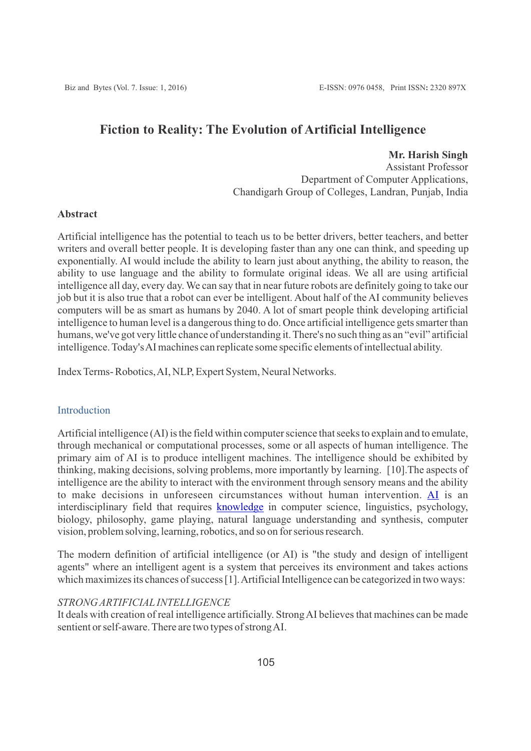# **Fiction to Reality: The Evolution of Artificial Intelligence**

**Mr. Harish Singh** Assistant Professor Department of Computer Applications, Chandigarh Group of Colleges, Landran, Punjab, India

#### **Abstract**

Artificial intelligence has the potential to teach us to be better drivers, better teachers, and better writers and overall better people. It is developing faster than any one can think, and speeding up exponentially. AI would include the ability to learn just about anything, the ability to reason, the ability to use language and the ability to formulate original ideas. We all are using artificial intelligence all day, every day. We can say that in near future robots are definitely going to take our job but it is also true that a robot can ever be intelligent. About half of the AI community believes computers will be as smart as humans by 2040. A lot of smart people think developing artificial intelligence to human level is a dangerous thing to do. Once artificial intelligence gets smarter than humans, we've got very little chance of understanding it. There's no such thing as an "evil" artificial intelligence. Today's AI machines can replicate some specific elements of intellectual ability.

Index Terms- Robotics, AI, NLP, Expert System, Neural Networks.

#### Introduction

Artificial intelligence (AI) is the field within computer science that seeks to explain and to emulate, through mechanical or computational processes, some or all aspects of human intelligence. The primary aim of AI is to produce intelligent machines. The intelligence should be exhibited by thinking, making decisions, solving problems, more importantly by learning. [10].The aspects of intelligence are the ability to interact with the environment through sensory means and the ability to make decisions in unforeseen circumstances without human intervention. [AI](http://www-formal.stanford.edu/jmc/whatisai/) is an interdisciplinary field that requires [knowledge](http://intelligence.worldofcomputing.net/knowledge-representation/what-is-knowledge.html) in computer science, linguistics, psychology, biology, philosophy, game playing, natural language understanding and synthesis, computer vision, problem solving, learning, robotics, and so on for serious research.

The modern definition of artificial intelligence (or AI) is "the study and design of intelligent agents" where an intelligent agent is a system that perceives its environment and takes actions which maximizes its chances of success [1]. Artificial Intelligence can be categorized in two ways:

# *STRONG ARTIFICIALINTELLIGENCE*

It deals with creation of real intelligence artificially. Strong AI believes that machines can be made sentient or self-aware. There are two types of strong AI.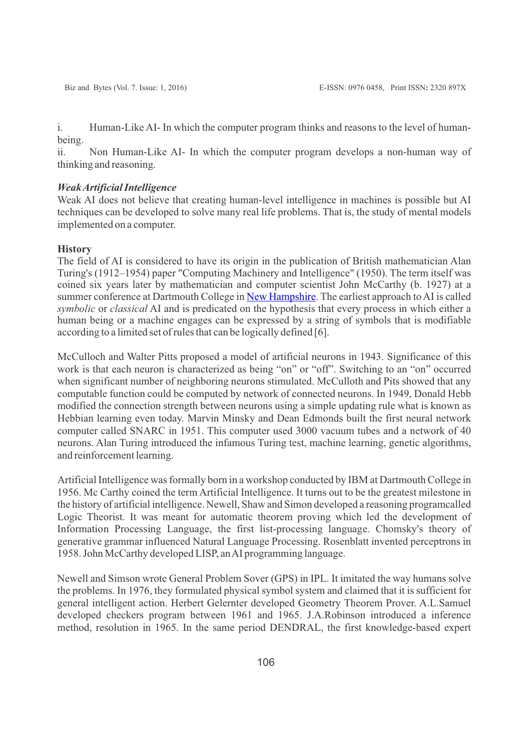i. Human-Like AI- In which the computer program thinks and reasons to the level of humanbeing.

ii. Non Human-Like AI- In which the computer program develops a non-human way of thinking and reasoning.

#### *Weak Artificial Intelligence*

Weak AI does not believe that creating human-level intelligence in machines is possible but AI techniques can be developed to solve many real life problems. That is, the study of mental models implemented on a computer.

#### **History**

The field of AI is considered to have its origin in the publication of British mathematician Alan Turing's (1912–1954) paper "Computing Machinery and Intelligence" (1950). The term itself was coined six years later by mathematician and computer scientist John McCarthy (b. 1927) at a summer conference at Dartmouth College in [New Hampshire](http://www.encyclopedia.com/topic/New_Hampshire.aspx). The earliest approach to AI is called *symbolic* or *classical* AI and is predicated on the hypothesis that every process in which either a human being or a machine engages can be expressed by a string of symbols that is modifiable according to a limited set of rules that can be logically defined [6].

McCulloch and Walter Pitts proposed a model of artificial neurons in 1943. Significance of this work is that each neuron is characterized as being "on" or "off". Switching to an "on" occurred when significant number of neighboring neurons stimulated. McCulloth and Pits showed that any computable function could be computed by network of connected neurons. In 1949, Donald Hebb modified the connection strength between neurons using a simple updating rule what is known as Hebbian learning even today. Marvin Minsky and Dean Edmonds built the first neural network computer called SNARC in 1951. This computer used 3000 vacuum tubes and a network of 40 neurons. Alan Turing introduced the infamous Turing test, machine learning, genetic algorithms, and reinforcement learning.

Artificial Intelligence was formally born in a workshop conducted by IBM at Dartmouth College in 1956. Mc Carthy coined the term Artificial Intelligence. It turns out to be the greatest milestone in the history of artificial intelligence. Newell, Shaw and Simon developed a reasoning programcalled Logic Theorist. It was meant for automatic theorem proving which led the development of Information Processing Language, the first list-processing language. Chomsky's theory of generative grammar influenced Natural Language Processing. Rosenblatt invented perceptrons in 1958. John McCarthy developed LISP, an AI programming language.

Newell and Simson wrote General Problem Sover (GPS) in IPL. It imitated the way humans solve the problems. In 1976, they formulated physical symbol system and claimed that it is sufficient for general intelligent action. Herbert Gelernter developed Geometry Theorem Prover. A.L.Samuel developed checkers program between 1961 and 1965. J.A.Robinson introduced a inference method, resolution in 1965. In the same period DENDRAL, the first knowledge-based expert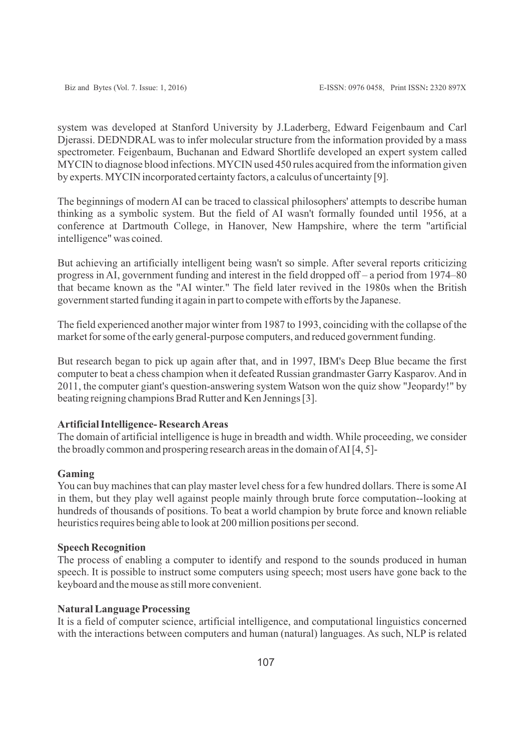system was developed at Stanford University by J.Laderberg, Edward Feigenbaum and Carl Djerassi. DEDNDRAL was to infer molecular structure from the information provided by a mass spectrometer. Feigenbaum, Buchanan and Edward Shortlife developed an expert system called MYCIN to diagnose blood infections. MYCIN used 450 rules acquired from the information given by experts. MYCIN incorporated certainty factors, a calculus of uncertainty [9].

The beginnings of modern AI can be traced to classical philosophers' attempts to describe human thinking as a symbolic system. But the field of AI wasn't formally founded until 1956, at a conference at Dartmouth College, in Hanover, New Hampshire, where the term "artificial intelligence" was coined.

But achieving an artificially intelligent being wasn't so simple. After several reports criticizing progress in AI, government funding and interest in the field dropped off – a period from 1974–80 that became known as the "AI winter." The field later revived in the 1980s when the British government started funding it again in part to compete with efforts by the Japanese.

The field experienced another major winter from 1987 to 1993, coinciding with the collapse of the market for some of the early general-purpose computers, and reduced government funding.

But research began to pick up again after that, and in 1997, IBM's Deep Blue became the first computer to beat a chess champion when it defeated Russian grandmaster Garry Kasparov. And in 2011, the computer giant's question-answering system Watson won the quiz show "Jeopardy!" by beating reigning champions Brad Rutter and Ken Jennings [3].

# **Artificial Intelligence- Research Areas**

The domain of artificial intelligence is huge in breadth and width. While proceeding, we consider the broadly common and prospering research areas in the domain of AI [4, 5]-

### **Gaming**

You can buy machines that can play master level chess for a few hundred dollars. There is some AI in them, but they play well against people mainly through brute force computation--looking at hundreds of thousands of positions. To beat a world champion by brute force and known reliable heuristics requires being able to look at 200 million positions per second.

#### **Speech Recognition**

The process of enabling a computer to identify and respond to the sounds produced in human speech. It is possible to instruct some computers using speech; most users have gone back to the keyboard and the mouse as still more convenient.

### **Natural Language Processing**

It is a field of computer science, artificial intelligence, and computational linguistics concerned with the interactions between computers and human (natural) languages. As such, NLP is related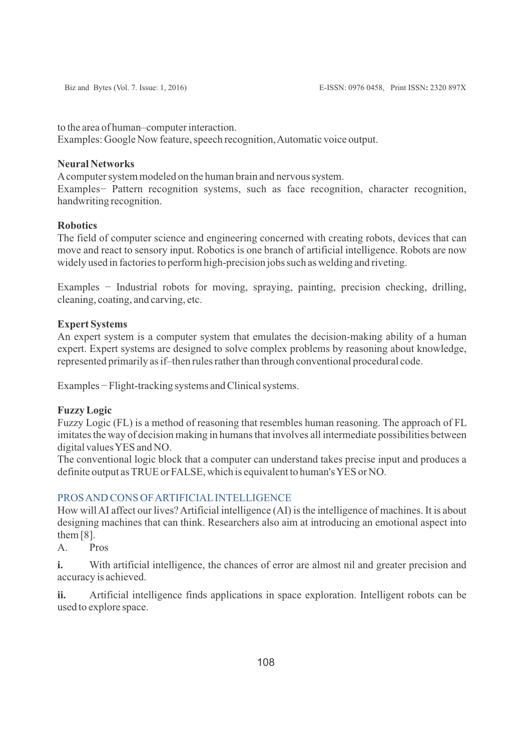to the area of human–computer interaction.

Examples: Google Now feature, speech recognition, Automatic voice output.

# **Neural Networks**

Acomputer system modeled on the human brain and nervous system.

Examples− Pattern recognition systems, such as face recognition, character recognition, handwriting recognition.

# **Robotics**

The field of computer science and engineering concerned with creating robots, devices that can move and react to sensory input. Robotics is one branch of artificial intelligence. Robots are now widely used in factories to perform high-precision jobs such as welding and riveting.

Examples − Industrial robots for moving, spraying, painting, precision checking, drilling, cleaning, coating, and carving, etc.

# **Expert Systems**

An expert system is a computer system that emulates the decision-making ability of a human expert. Expert systems are designed to solve complex problems by reasoning about knowledge, represented primarily as if–then rules rather than through conventional procedural code.

Examples − Flight-tracking systems and Clinical systems.

# **Fuzzy Logic**

Fuzzy Logic (FL) is a method of reasoning that resembles human reasoning. The approach of FL imitates the way of decision making in humans that involves all intermediate possibilities between digital values YES and NO.

The conventional logic block that a computer can understand takes precise input and produces a definite output as TRUE or FALSE, which is equivalent to human's YES or NO.

# PROS AND CONS OF ARTIFICIALINTELLIGENCE

How will AI affect our lives? Artificial intelligence (AI) is the intelligence of machines. It is about designing machines that can think. Researchers also aim at introducing an emotional aspect into them [8].

A. Pros

**i.** With artificial intelligence, the chances of error are almost nil and greater precision and accuracy is achieved.

**ii.** Artificial intelligence finds applications in space exploration. Intelligent robots can be used to explore space.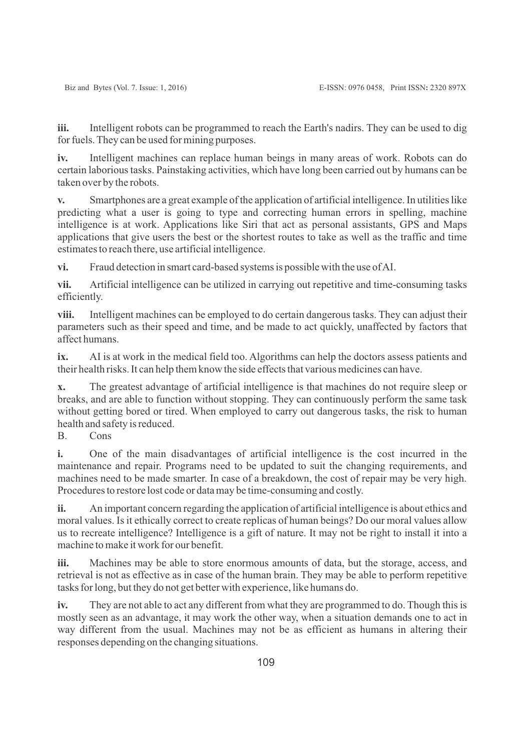**iii.** Intelligent robots can be programmed to reach the Earth's nadirs. They can be used to dig for fuels. They can be used for mining purposes.

**iv.** Intelligent machines can replace human beings in many areas of work. Robots can do certain laborious tasks. Painstaking activities, which have long been carried out by humans can be taken over by the robots.

**v.** Smartphones are a great example of the application of artificial intelligence. In utilities like predicting what a user is going to type and correcting human errors in spelling, machine intelligence is at work. Applications like Siri that act as personal assistants, GPS and Maps applications that give users the best or the shortest routes to take as well as the traffic and time estimates to reach there, use artificial intelligence.

**vi.** Fraud detection in smart card-based systems is possible with the use of AI.

**vii.** Artificial intelligence can be utilized in carrying out repetitive and time-consuming tasks efficiently.

**viii.** Intelligent machines can be employed to do certain dangerous tasks. They can adjust their parameters such as their speed and time, and be made to act quickly, unaffected by factors that affect humans.

**ix.** AI is at work in the medical field too. Algorithms can help the doctors assess patients and their health risks. It can help them know the side effects that various medicines can have.

**x.** The greatest advantage of artificial intelligence is that machines do not require sleep or breaks, and are able to function without stopping. They can continuously perform the same task without getting bored or tired. When employed to carry out dangerous tasks, the risk to human health and safety is reduced.

B. Cons

**i.** One of the main disadvantages of artificial intelligence is the cost incurred in the maintenance and repair. Programs need to be updated to suit the changing requirements, and machines need to be made smarter. In case of a breakdown, the cost of repair may be very high. Procedures to restore lost code or data may be time-consuming and costly.

**ii.** An important concern regarding the application of artificial intelligence is about ethics and moral values. Is it ethically correct to create replicas of human beings? Do our moral values allow us to recreate intelligence? Intelligence is a gift of nature. It may not be right to install it into a machine to make it work for our benefit.

**iii.** Machines may be able to store enormous amounts of data, but the storage, access, and retrieval is not as effective as in case of the human brain. They may be able to perform repetitive tasks for long, but they do not get better with experience, like humans do.

**iv.** They are not able to act any different from what they are programmed to do. Though this is mostly seen as an advantage, it may work the other way, when a situation demands one to act in way different from the usual. Machines may not be as efficient as humans in altering their responses depending on the changing situations.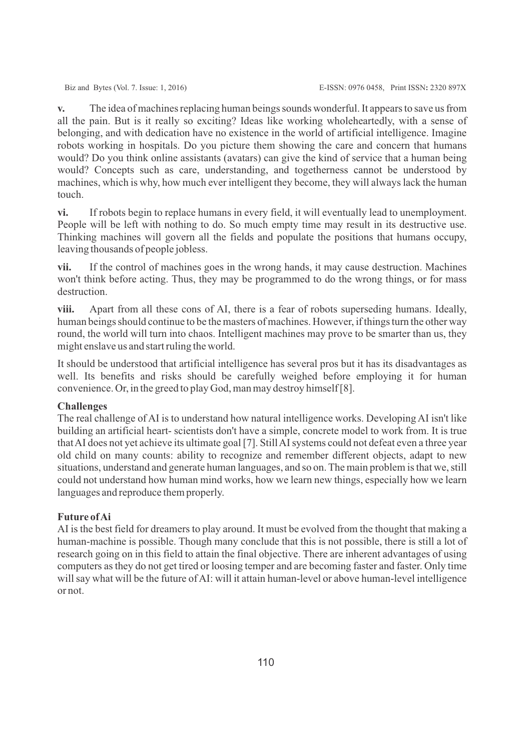**v.** The idea of machines replacing human beings sounds wonderful. It appears to save us from all the pain. But is it really so exciting? Ideas like working wholeheartedly, with a sense of belonging, and with dedication have no existence in the world of artificial intelligence. Imagine robots working in hospitals. Do you picture them showing the care and concern that humans would? Do you think online assistants (avatars) can give the kind of service that a human being would? Concepts such as care, understanding, and togetherness cannot be understood by machines, which is why, how much ever intelligent they become, they will always lack the human touch.

**vi.** If robots begin to replace humans in every field, it will eventually lead to unemployment. People will be left with nothing to do. So much empty time may result in its destructive use. Thinking machines will govern all the fields and populate the positions that humans occupy, leaving thousands of people jobless.

**vii.** If the control of machines goes in the wrong hands, it may cause destruction. Machines won't think before acting. Thus, they may be programmed to do the wrong things, or for mass destruction.

**viii.** Apart from all these cons of AI, there is a fear of robots superseding humans. Ideally, human beings should continue to be the masters of machines. However, if things turn the other way round, the world will turn into chaos. Intelligent machines may prove to be smarter than us, they might enslave us and start ruling the world.

It should be understood that artificial intelligence has several pros but it has its disadvantages as well. Its benefits and risks should be carefully weighed before employing it for human convenience. Or, in the greed to play God, man may destroy himself [8].

### **Challenges**

The real challenge of AI is to understand how natural intelligence works. Developing AI isn't like building an artificial heart- scientists don't have a simple, concrete model to work from. It is true that AI does not yet achieve its ultimate goal [7]. Still AI systems could not defeat even a three year old child on many counts: ability to recognize and remember different objects, adapt to new situations, understand and generate human languages, and so on. The main problem is that we, still could not understand how human mind works, how we learn new things, especially how we learn languages and reproduce them properly.

### **Future of Ai**

AI is the best field for dreamers to play around. It must be evolved from the thought that making a human-machine is possible. Though many conclude that this is not possible, there is still a lot of research going on in this field to attain the final objective. There are inherent advantages of using computers as they do not get tired or loosing temper and are becoming faster and faster. Only time will say what will be the future of AI: will it attain human-level or above human-level intelligence or not.